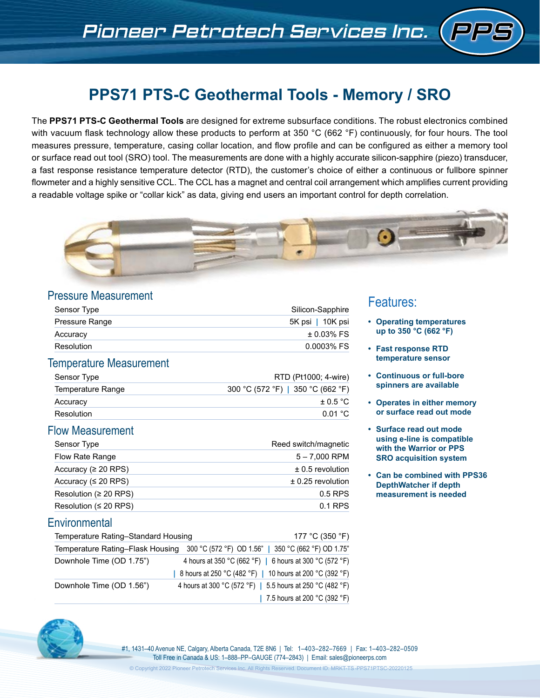# **PPS71 PTS-C Geothermal Tools - Memory / SRO**

The **PPS71 PTS-C Geothermal Tools** are designed for extreme subsurface conditions. The robust electronics combined with vacuum flask technology allow these products to perform at 350 °C (662 °F) continuously, for four hours. The tool measures pressure, temperature, casing collar location, and flow profile and can be configured as either a memory tool or surface read out tool (SRO) tool. The measurements are done with a highly accurate silicon-sapphire (piezo) transducer, a fast response resistance temperature detector (RTD), the customer's choice of either a continuous or fullbore spinner flowmeter and a highly sensitive CCL. The CCL has a magnet and central coil arrangement which amplifies current providing a readable voltage spike or "collar kick" as data, giving end users an important control for depth correlation.



### Pressure Measurement

| Silicon-Sapphire |
|------------------|
| 5K psi   10K psi |
| $± 0.03\%$ FS    |
| 0.0003% FS       |
|                  |

## Temperature Measurement

| Sensor Type       | RTD (Pt1000; 4-wire)              |
|-------------------|-----------------------------------|
| Temperature Range | 300 °C (572 °F)   350 °C (662 °F) |
| Accuracy          | $+0.5 °C$                         |
| Resolution        | 0.01 °C                           |

## Flow Measurement

| Sensor Type                 | Reed switch/magnetic  |
|-----------------------------|-----------------------|
| Flow Rate Range             | $5 - 7,000$ RPM       |
| Accuracy ( $\geq 20$ RPS)   | $\pm$ 0.5 revolution  |
| Accuracy ( $\leq 20$ RPS)   | $\pm$ 0.25 revolution |
| Resolution (≥ 20 RPS)       | $0.5$ RPS             |
| Resolution ( $\leq$ 20 RPS) | 0.1 RPS               |

## **Environmental**

| Temperature Rating-Standard Housing | 177 °C (350 °F)                                                                      |
|-------------------------------------|--------------------------------------------------------------------------------------|
|                                     | Temperature Rating-Flask Housing 300 °C (572 °F) OD 1.56"   350 °C (662 °F) OD 1.75" |
| Downhole Time (OD 1.75")            | 4 hours at 350 °C (662 °F)   6 hours at 300 °C (572 °F)                              |
|                                     | 8 hours at 250 °C (482 °F)   10 hours at 200 °C (392 °F)                             |
| Downhole Time (OD 1.56")            | 4 hours at 300 °C (572 °F)   5.5 hours at 250 °C (482 °F)                            |
|                                     | 7.5 hours at 200 °C (392 °F)                                                         |

## Features:

- **• Operating temperatures up to 350 °C (662 °F)**
- **• Fast response RTD temperature sensor**
- **• Continuous or full-bore spinners are available**
- **• Operates in either memory or surface read out mode**
- **• Surface read out mode using e-line is compatible with the Warrior or PPS SRO acquisition system**
- **• Can be combined with PPS36 DepthWatcher if depth measurement is needed**



#1, 1431–40 Avenue NE, Calgary, Alberta Canada, T2E 8N6 | Tel: 1–403–282–7669 | Fax: 1–403–282–0509 Toll Free in Canada & US: 1–888–PP–GAUGE (774–2843) | Email: sales@pioneerps.com